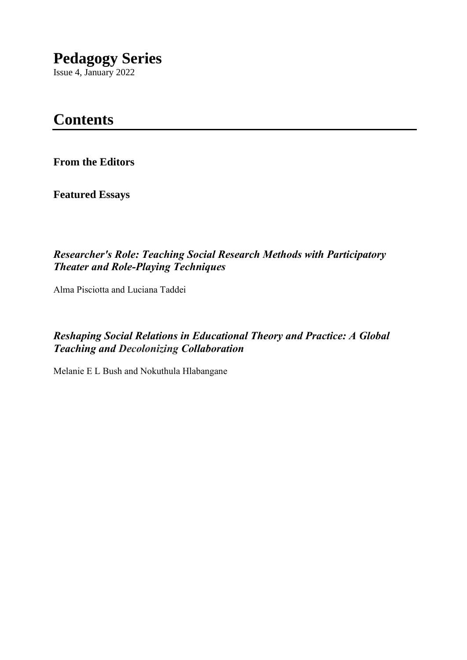# **Pedagogy Series**

Issue 4, January 2022

# **Contents**

**From the Editors**

**Featured Essays**

### *Researcher's Role: Teaching Social Research Methods with Participatory Theater and Role-Playing Techniques*

Alma Pisciotta and Luciana Taddei

*Reshaping Social Relations in Educational Theory and Practice: A Global Teaching and Decolonizing Collaboration*

Melanie E L Bush and Nokuthula Hlabangane